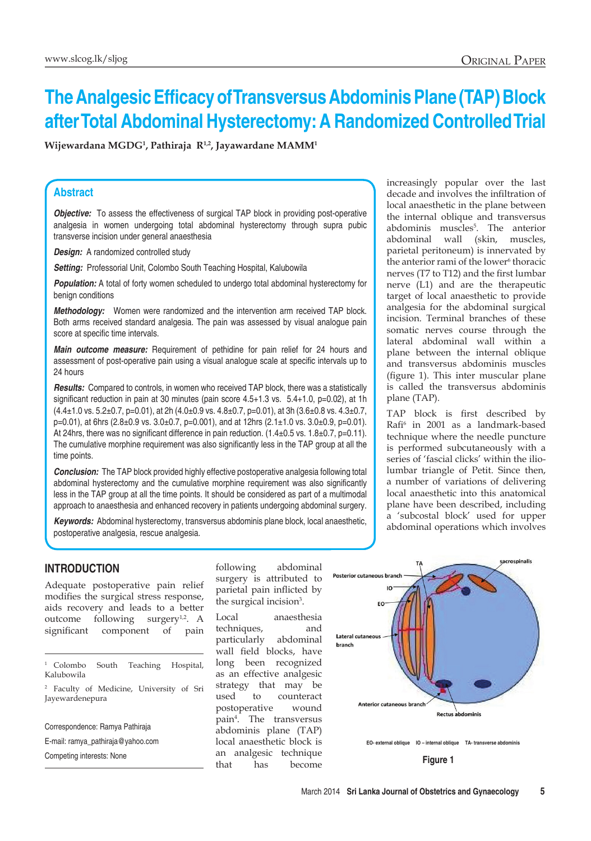# **The Analgesic Efficacy of Transversus Abdominis Plane (TAP) Block after Total Abdominal Hysterectomy: A Randomized Controlled Trial**

**Wijewardana MGDG1 , Pathiraja R1,2, Jayawardane MAMM1**

#### **Abstract**

*Objective:* To assess the effectiveness of surgical TAP block in providing post-operative analgesia in women undergoing total abdominal hysterectomy through supra pubic transverse incision under general anaesthesia

**Design:** A randomized controlled study

**Setting: Professorial Unit, Colombo South Teaching Hospital, Kalubowila** 

**Population:** A total of forty women scheduled to undergo total abdominal hysterectomy for benign conditions

*Methodology:* Women were randomized and the intervention arm received TAP block. Both arms received standard analgesia. The pain was assessed by visual analogue pain score at specific time intervals.

*Main outcome measure:* Requirement of pethidine for pain relief for 24 hours and assessment of post-operative pain using a visual analogue scale at specific intervals up to 24 hours

*Results:* Compared to controls, in women who received TAP block, there was a statistically significant reduction in pain at 30 minutes (pain score 4.5+1.3 vs. 5.4+1.0, p=0.02), at 1h (4.4±1.0 vs. 5.2±0.7, p=0.01), at 2h (4.0±0.9 vs. 4.8±0.7, p=0.01), at 3h (3.6±0.8 vs. 4.3±0.7, p=0.01), at 6hrs (2.8±0.9 vs. 3.0±0.7, p=0.001), and at 12hrs (2.1±1.0 vs. 3.0±0.9, p=0.01). At 24hrs, there was no significant difference in pain reduction. (1.4±0.5 vs. 1.8±0.7, p=0.11). The cumulative morphine requirement was also significantly less in the TAP group at all the time points.

*Conclusion:* The TAP block provided highly effective postoperative analgesia following total abdominal hysterectomy and the cumulative morphine requirement was also significantly less in the TAP group at all the time points. It should be considered as part of a multimodal approach to anaesthesia and enhanced recovery in patients undergoing abdominal surgery.

*Keywords:* Abdominal hysterectomy, transversus abdominis plane block, local anaesthetic, postoperative analgesia, rescue analgesia.

## **Introduction**

Adequate postoperative pain relief modifies the surgical stress response, aids recovery and leads to a better outcome following surgery<sup>1,2</sup>. A significant component of pain

<sup>1</sup> Colombo South Teaching Hospital, Kalubowila

<sup>2</sup> Faculty of Medicine, University of Sri Jayewardenepura

Correspondence: Ramya Pathiraja E-mail: ramya\_pathiraja@yahoo.com Competing interests: None

following abdominal surgery is attributed to parietal pain inflicted by the surgical incision $3$ .

Local anaesthesia techniques, and particularly abdominal wall field blocks, have long been recognized as an effective analgesic strategy that may be used to counteract postoperative wound pain4 . The transversus abdominis plane (TAP) local anaesthetic block is an analgesic technique that has become

increasingly popular over the last decade and involves the infiltration of local anaesthetic in the plane between the internal oblique and transversus abdominis muscles<sup>5</sup>. The anterior abdominal wall (skin, muscles, parietal peritoneum) is innervated by the anterior rami of the lower<sup>6</sup> thoracic nerves (T7 to T12) and the first lumbar nerve (L1) and are the therapeutic target of local anaesthetic to provide analgesia for the abdominal surgical incision. Terminal branches of these somatic nerves course through the lateral abdominal wall within a plane between the internal oblique and transversus abdominis muscles (figure 1). This inter muscular plane is called the transversus abdominis plane (TAP).

TAP block is first described by Rafi<sup>6</sup> in 2001 as a landmark-based technique where the needle puncture is performed subcutaneously with a series of 'fascial clicks' within the iliolumbar triangle of Petit. Since then, a number of variations of delivering local anaesthetic into this anatomical plane have been described, including a 'subcostal block' used for upper abdominal operations which involves

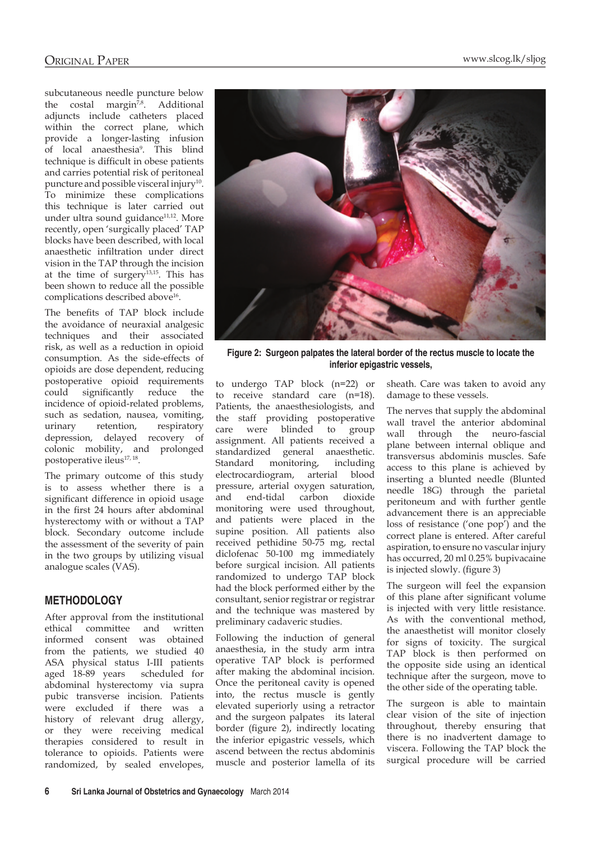subcutaneous needle puncture below the costal margin<sup>7,8</sup>. Additional adjuncts include catheters placed within the correct plane, which provide a longer-lasting infusion of local anaesthesia9 . This blind technique is difficult in obese patients and carries potential risk of peritoneal puncture and possible visceral injury<sup>10</sup>. To minimize these complications this technique is later carried out under ultra sound guidance<sup>11,12</sup>. More recently, open 'surgically placed' TAP blocks have been described, with local anaesthetic infiltration under direct vision in the TAP through the incision at the time of surgery<sup>13,15</sup>. This has been shown to reduce all the possible complications described above<sup>16</sup>.

The benefits of TAP block include the avoidance of neuraxial analgesic techniques and their associated risk, as well as a reduction in opioid consumption. As the side-effects of opioids are dose dependent, reducing postoperative opioid requirements could significantly reduce the incidence of opioid-related problems, such as sedation, nausea, vomiting, urinary retention, respiratory depression, delayed recovery of colonic mobility, and prolonged postoperative ileus<sup>17, 18</sup>.

The primary outcome of this study is to assess whether there is a significant difference in opioid usage in the first 24 hours after abdominal hysterectomy with or without a TAP block. Secondary outcome include the assessment of the severity of pain in the two groups by utilizing visual analogue scales (VAS).

#### **METHODOLOGY**

After approval from the institutional ethical committee and written informed consent was obtained from the patients, we studied 40 ASA physical status I-III patients aged 18-89 years scheduled for abdominal hysterectomy via supra pubic transverse incision. Patients were excluded if there was a history of relevant drug allergy, or they were receiving medical therapies considered to result in tolerance to opioids. Patients were randomized, by sealed envelopes,



**Figure 2: Surgeon palpates the lateral border of the rectus muscle to locate the inferior epigastric vessels,**

to undergo TAP block (n=22) or to receive standard care (n=18). Patients, the anaesthesiologists, and the staff providing postoperative care were blinded to group assignment. All patients received a standardized general anaesthetic. Standard monitoring, including electrocardiogram, arterial blood pressure, arterial oxygen saturation, and end-tidal carbon dioxide monitoring were used throughout, and patients were placed in the supine position. All patients also received pethidine 50-75 mg, rectal diclofenac 50-100 mg immediately before surgical incision. All patients randomized to undergo TAP block had the block performed either by the consultant, senior registrar or registrar and the technique was mastered by preliminary cadaveric studies.

Following the induction of general anaesthesia, in the study arm intra operative TAP block is performed after making the abdominal incision. Once the peritoneal cavity is opened into, the rectus muscle is gently elevated superiorly using a retractor and the surgeon palpates its lateral border (figure 2), indirectly locating the inferior epigastric vessels, which ascend between the rectus abdominis muscle and posterior lamella of its

sheath. Care was taken to avoid any damage to these vessels.

The nerves that supply the abdominal wall travel the anterior abdominal wall through the neuro-fascial plane between internal oblique and transversus abdominis muscles. Safe access to this plane is achieved by inserting a blunted needle (Blunted needle 18G) through the parietal peritoneum and with further gentle advancement there is an appreciable loss of resistance ('one pop') and the correct plane is entered. After careful aspiration, to ensure no vascular injury has occurred, 20 ml 0.25% bupivacaine is injected slowly. (figure 3)

The surgeon will feel the expansion of this plane after significant volume is injected with very little resistance. As with the conventional method, the anaesthetist will monitor closely for signs of toxicity. The surgical TAP block is then performed on the opposite side using an identical technique after the surgeon, move to the other side of the operating table.

The surgeon is able to maintain clear vision of the site of injection throughout, thereby ensuring that there is no inadvertent damage to viscera. Following the TAP block the surgical procedure will be carried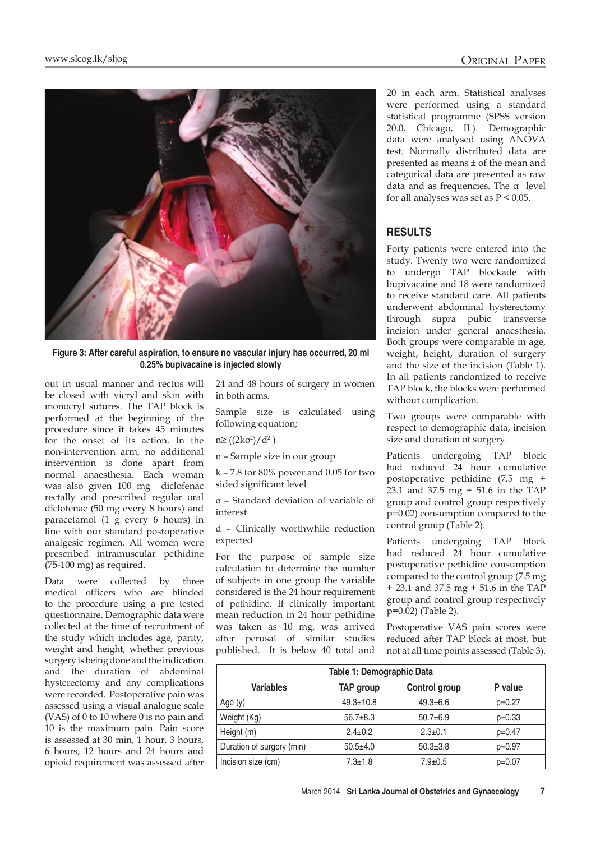

**Figure 3: After careful aspiration, to ensure no vascular injury has occurred, 20 ml 0.25% bupivacaine is injected slowly**

out in usual manner and rectus will be closed with vicryl and skin with monocryl sutures. The TAP block is performed at the beginning of the procedure since it takes 45 minutes for the onset of its action. In the non-intervention arm, no additional intervention is done apart from normal anaesthesia. Each woman was also given 100 mg diclofenac rectally and prescribed regular oral diclofenac (50 mg every 8 hours) and paracetamol (1 g every 6 hours) in line with our standard postoperative analgesic regimen. All women were prescribed intramuscular pethidine (75-100 mg) as required.

Data were collected by three medical officers who are blinded to the procedure using a pre tested questionnaire. Demographic data were collected at the time of recruitment of the study which includes age, parity, weight and height, whether previous surgery is being done and the indication and the duration of abdominal hysterectomy and any complications were recorded. Postoperative pain was assessed using a visual analogue scale (VAS) of 0 to 10 where 0 is no pain and 10 is the maximum pain. Pain score is assessed at 30 min, 1 hour, 3 hours, 6 hours, 12 hours and 24 hours and opioid requirement was assessed after 24 and 48 hours of surgery in women in both arms.

Sample size is calculated using following equation;

n≥ ((2kσ<sup>2</sup>)/d<sup>2</sup>)

n – Sample size in our group

k – 7.8 for 80% power and 0.05 for two sided significant level

σ – Standard deviation of variable of interest

d – Clinically worthwhile reduction expected

For the purpose of sample size calculation to determine the number of subjects in one group the variable considered is the 24 hour requirement of pethidine. If clinically important mean reduction in 24 hour pethidine was taken as 10 mg, was arrived after perusal of similar studies published. It is below 40 total and 20 in each arm. Statistical analyses were performed using a standard statistical programme (SPSS version 20.0, Chicago, IL). Demographic data were analysed using ANOVA test. Normally distributed data are presented as means ± of the mean and categorical data are presented as raw data and as frequencies. The α level for all analyses was set as  $P < 0.05$ .

# **RESULTS**

Forty patients were entered into the study. Twenty two were randomized to undergo TAP blockade with bupivacaine and 18 were randomized to receive standard care. All patients underwent abdominal hysterectomy through supra pubic transverse incision under general anaesthesia. Both groups were comparable in age, weight, height, duration of surgery and the size of the incision (Table 1). In all patients randomized to receive TAP block, the blocks were performed without complication.

Two groups were comparable with respect to demographic data, incision size and duration of surgery.

Patients undergoing TAP block had reduced 24 hour cumulative postoperative pethidine (7.5 mg + 23.1 and 37.5 mg + 51.6 in the TAP group and control group respectively p=0.02) consumption compared to the control group (Table 2).

Patients undergoing TAP block had reduced 24 hour cumulative postoperative pethidine consumption compared to the control group (7.5 mg + 23.1 and 37.5 mg + 51.6 in the TAP group and control group respectively p=0.02) (Table 2).

Postoperative VAS pain scores were reduced after TAP block at most, but not at all time points assessed (Table 3).

| Table 1: Demographic Data |                  |                      |          |  |  |  |  |
|---------------------------|------------------|----------------------|----------|--|--|--|--|
| <b>Variables</b>          | <b>TAP</b> group | <b>Control group</b> | P value  |  |  |  |  |
| Age $(y)$                 | $49.3 \pm 10.8$  | $49.3 \pm 6.6$       | $p=0.27$ |  |  |  |  |
| Weight (Kg)               | $56.7 \pm 8.3$   | $50.7 + 6.9$         | $p=0.33$ |  |  |  |  |
| Height (m)                | $2.4 \pm 0.2$    | $2.3 \pm 0.1$        | $p=0.47$ |  |  |  |  |
| Duration of surgery (min) | $50.5 + 4.0$     | $50.3 \pm 3.8$       | $p=0.97$ |  |  |  |  |
| Incision size (cm)        | $7.3 \pm 1.8$    | $7.9 \pm 0.5$        | $p=0.07$ |  |  |  |  |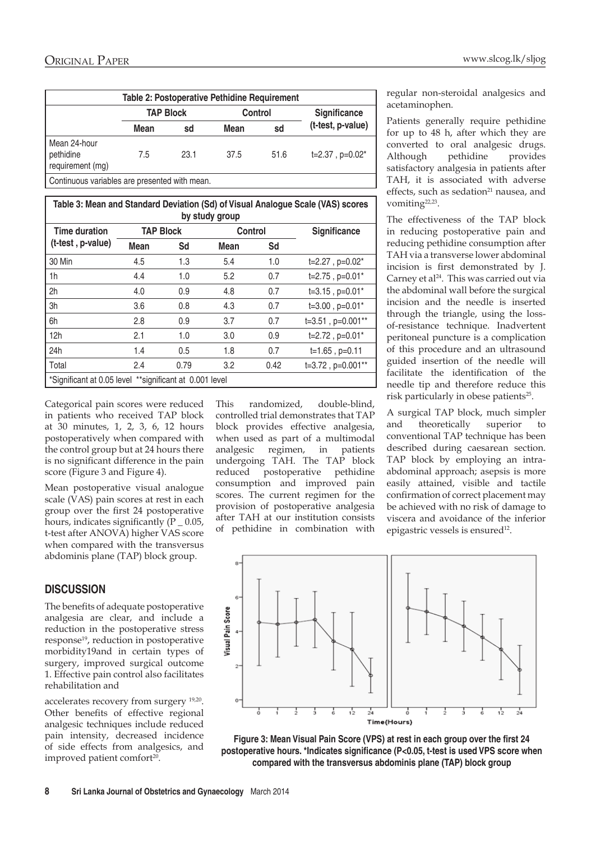| Table 2: Postoperative Pethidine Requirement  |                  |      |                |      |                      |  |  |  |
|-----------------------------------------------|------------------|------|----------------|------|----------------------|--|--|--|
|                                               | <b>TAP Block</b> |      | <b>Control</b> |      | Significance         |  |  |  |
|                                               | Mean             | sd   | Mean           | sd   | (t-test, p-value)    |  |  |  |
| Mean 24-hour<br>pethidine<br>requirement (mg) | 7.5              | 23.1 | 37.5           | 51.6 | $t=2.37$ , $p=0.02*$ |  |  |  |

Continuous variables are presented with mean.

| Table 3: Mean and Standard Deviation (Sd) of Visual Analogue Scale (VAS) scores<br>by study group |                  |      |             |      |                        |  |  |  |
|---------------------------------------------------------------------------------------------------|------------------|------|-------------|------|------------------------|--|--|--|
| <b>Time duration</b><br>(t-test, p-value)                                                         | <b>TAP Block</b> |      | Control     |      | Significance           |  |  |  |
|                                                                                                   | <b>Mean</b>      | Sd   | <b>Mean</b> | Sd   |                        |  |  |  |
| 30 Min                                                                                            | 4.5              | 1.3  | 5.4         | 1.0  | $t=2.27$ , $p=0.02*$   |  |  |  |
| 1h                                                                                                | 4.4              | 1.0  | 5.2         | 0.7  | $t=2.75$ , $p=0.01*$   |  |  |  |
| 2h                                                                                                | 4.0              | 0.9  | 4.8         | 0.7  | $t=3.15$ , $p=0.01*$   |  |  |  |
| 3h                                                                                                | 3.6              | 0.8  | 4.3         | 0.7  | $t=3.00$ , $p=0.01*$   |  |  |  |
| 6h                                                                                                | 2.8              | 0.9  | 3.7         | 0.7  | $t=3.51$ , $p=0.001**$ |  |  |  |
| 12h                                                                                               | 2.1              | 1.0  | 3.0         | 0.9  | $t=2.72$ , $p=0.01*$   |  |  |  |
| 24h                                                                                               | 1.4              | 0.5  | 1.8         | 0.7  | $t=1.65$ , $p=0.11$    |  |  |  |
| Total                                                                                             | 2.4              | 0.79 | 3.2         | 0.42 | $t=3.72$ , $p=0.001**$ |  |  |  |
| *Significant at 0.05 level **significant at 0.001 level                                           |                  |      |             |      |                        |  |  |  |

Categorical pain scores were reduced in patients who received TAP block at 30 minutes, 1, 2, 3, 6, 12 hours postoperatively when compared with the control group but at 24 hours there is no significant difference in the pain score (Figure 3 and Figure 4).

Mean postoperative visual analogue scale (VAS) pain scores at rest in each group over the first 24 postoperative hours, indicates significantly  $(P_0.05,$ t-test after ANOVA) higher VAS score when compared with the transversus abdominis plane (TAP) block group.

# **DISCUSSION**

The benefits of adequate postoperative analgesia are clear, and include a reduction in the postoperative stress response<sup>19</sup>, reduction in postoperative morbidity19and in certain types of surgery, improved surgical outcome 1. Effective pain control also facilitates rehabilitation and

accelerates recovery from surgery 19,20. Other benefits of effective regional analgesic techniques include reduced pain intensity, decreased incidence of side effects from analgesics, and improved patient comfort<sup>20</sup>.

This randomized, double-blind, controlled trial demonstrates that TAP block provides effective analgesia, when used as part of a multimodal analgesic regimen, in patients undergoing TAH. The TAP block reduced postoperative pethidine consumption and improved pain scores. The current regimen for the provision of postoperative analgesia after TAH at our institution consists of pethidine in combination with gular non-steroidal analgesics and etaminophen.

atients generally require pethidine or up to 48 h, after which they are proverted to oral analgesic drugs. Although pethidine provides satisfactory analgesia in patients after TAH, it is associated with adverse effects, such as sedation<sup>21</sup> nausea, and vomiting<sup>22,23</sup>.

The effectiveness of the TAP block in reducing postoperative pain and reducing pethidine consumption after TAH via a transverse lower abdominal incision is first demonstrated by J. Carney et al<sup>24</sup>. This was carried out via the abdominal wall before the surgical incision and the needle is inserted through the triangle, using the lossof-resistance technique. Inadvertent peritoneal puncture is a complication of this procedure and an ultrasound guided insertion of the needle will facilitate the identification of the needle tip and therefore reduce this risk particularly in obese patients<sup>25</sup>.

A surgical TAP block, much simpler and theoretically superior to conventional TAP technique has been described during caesarean section. TAP block by employing an intraabdominal approach; asepsis is more easily attained, visible and tactile confirmation of correct placement may be achieved with no risk of damage to viscera and avoidance of the inferior epigastric vessels is ensured<sup>12</sup>.



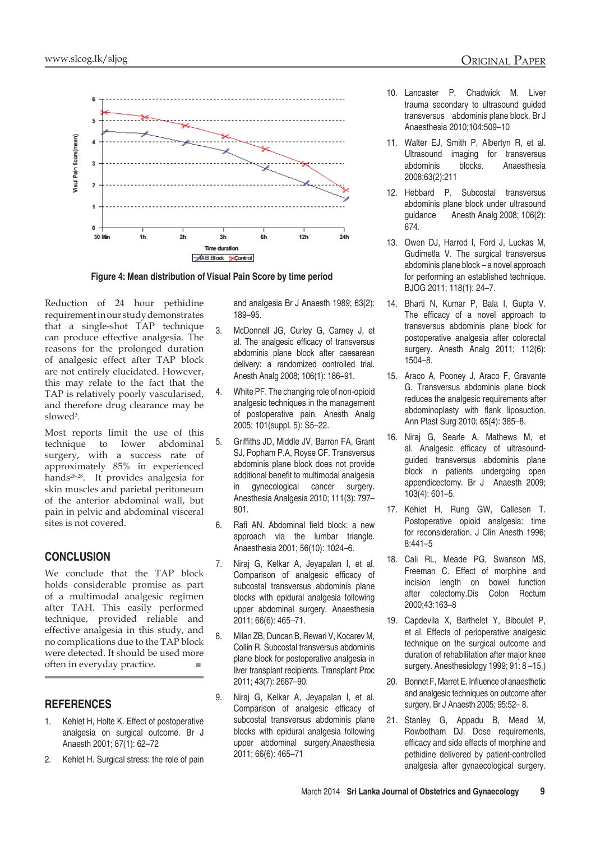

 **Figure 4: Mean distribution of Visual Pain Score by time period**

Reduction of 24 hour pethidine requirement in our study demonstrates that a single-shot TAP technique can produce effective analgesia. The reasons for the prolonged duration of analgesic effect after TAP block are not entirely elucidated. However, this may relate to the fact that the TAP is relatively poorly vascularised, and therefore drug clearance may be slowed<sup>3</sup>.

Most reports limit the use of this technique to lower abdominal surgery, with a success rate of approximately 85% in experienced hands<sup>26-28</sup>. It provides analgesia for skin muscles and parietal peritoneum of the anterior abdominal wall, but pain in pelvic and abdominal visceral sites is not covered.

## **CONCLUSION**

We conclude that the TAP block holds considerable promise as part of a multimodal analgesic regimen after TAH. This easily performed technique, provided reliable and effective analgesia in this study, and no complications due to the TAP block were detected. It should be used more often in everyday practice. ■

## **REFERENCES**

- 1. Kehlet H, Holte K. Effect of postoperative analgesia on surgical outcome. Br J Anaesth 2001; 87(1): 62–72
- 2. Kehlet H. Surgical stress: the role of pain

and analgesia Br J Anaesth 1989; 63(2): 189–95.

- 3. McDonnell JG, Curley G, Carney J, et al. The analgesic efficacy of transversus abdominis plane block after caesarean delivery: a randomized controlled trial. Anesth Analg 2008; 106(1): 186–91.
- 4. White PF. The changing role of non-opioid analgesic techniques in the management of postoperative pain. Anesth Analg 2005; 101(suppl. 5): S5–22.
- 5. Griffiths JD, Middle JV, Barron FA, Grant SJ, Popham P.A, Royse CF. Transversus abdominis plane block does not provide additional benefit to multimodal analgesia in gynecological cancer surgery. Anesthesia Analgesia 2010; 111(3): 797– 801.
- 6. Rafi AN. Abdominal field block: a new approach via the lumbar triangle. Anaesthesia 2001; 56(10): 1024–6.
- 7. Niraj G, Kelkar A, Jeyapalan I, et al. Comparison of analgesic efficacy of subcostal transversus abdominis plane blocks with epidural analgesia following upper abdominal surgery. Anaesthesia 2011; 66(6): 465–71.
- 8. Milan ZB, Duncan B, Rewari V, Kocarev M, Collin R. Subcostal transversus abdominis plane block for postoperative analgesia in liver transplant recipients. Transplant Proc 2011; 43(7): 2687–90.
- 9. Niraj G, Kelkar A, Jeyapalan I, et al. Comparison of analgesic efficacy of subcostal transversus abdominis plane blocks with epidural analgesia following upper abdominal surgery.Anaesthesia 2011; 66(6): 465–71
- 10. Lancaster P, Chadwick M. Liver trauma secondary to ultrasound guided transversus abdominis plane block. Br J Anaesthesia 2010;104:509–10
- 11. Walter EJ, Smith P, Albertyn R, et al. Ultrasound imaging for transversus abdominis blocks. Anaesthesia 2008;63(2):211
- 12. Hebbard P. Subcostal transversus abdominis plane block under ultrasound guidance Anesth Analg 2008; 106(2): 674.
- 13. Owen DJ, Harrod I, Ford J, Luckas M, Gudimetla V. The surgical transversus abdominis plane block – a novel approach for performing an established technique. BJOG 2011; 118(1): 24–7.
- 14. Bharti N, Kumar P, Bala I, Gupta V. The efficacy of a novel approach to transversus abdominis plane block for postoperative analgesia after colorectal surgery. Anesth Analg 2011; 112(6): 1504–8.
- 15. Araco A, Pooney J, Araco F, Gravante G. Transversus abdominis plane block reduces the analgesic requirements after abdominoplasty with flank liposuction. Ann Plast Surg 2010; 65(4): 385–8.
- 16. Niraj G, Searle A, Mathews M, et al. Analgesic efficacy of ultrasoundguided transversus abdominis plane block in patients undergoing open appendicectomy. Br J Anaesth 2009; 103(4): 601–5.
- 17. Kehlet H, Rung GW, Callesen T. Postoperative opioid analgesia: time for reconsideration. J Clin Anesth 1996; 8:441–5
- 18. Cali RL, Meade PG, Swanson MS, Freeman C. Effect of morphine and incision length on bowel function after colectomy.Dis Colon Rectum 2000;43:163–8
- 19. Capdevila X, Barthelet Y, Biboulet P, et al. Effects of perioperative analgesic technique on the surgical outcome and duration of rehabilitation after major knee surgery. Anesthesiology 1999; 91: 8-15.)
- 20. Bonnet F, Marret E. Influence of anaesthetic and analgesic techniques on outcome after surgery. Br J Anaesth 2005; 95:52– 8.
- 21. Stanley G, Appadu B, Mead M, Rowbotham DJ. Dose requirements, efficacy and side effects of morphine and pethidine delivered by patient-controlled analgesia after gynaecological surgery.